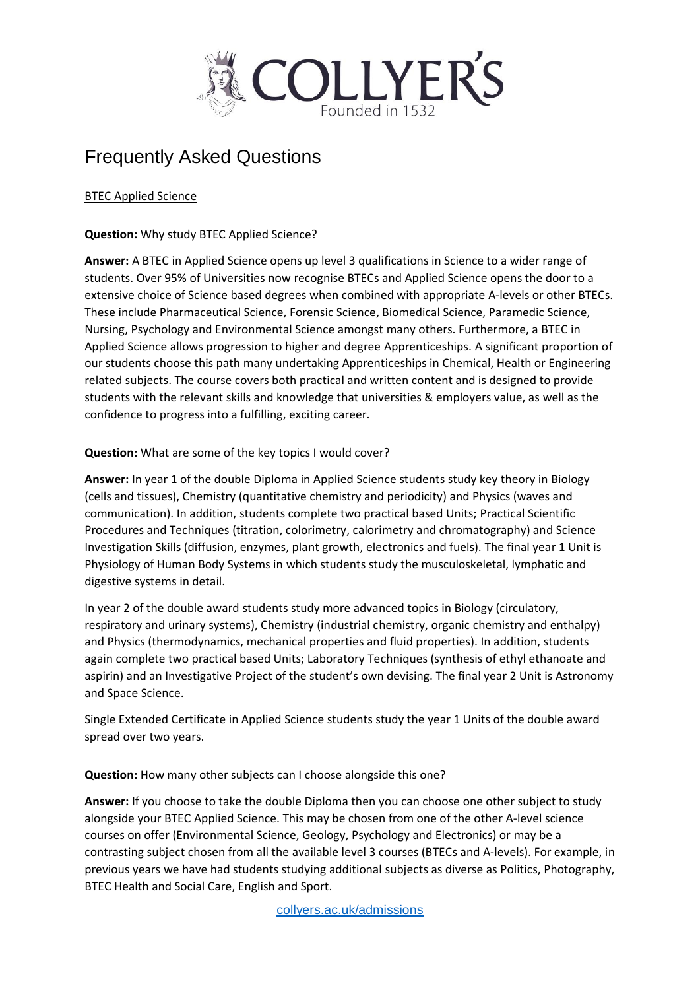

## Frequently Asked Questions

### BTEC Applied Science

### **Question:** Why study BTEC Applied Science?

**Answer:** A BTEC in Applied Science opens up level 3 qualifications in Science to a wider range of students. Over 95% of Universities now recognise BTECs and Applied Science opens the door to a extensive choice of Science based degrees when combined with appropriate A-levels or other BTECs. These include Pharmaceutical Science, Forensic Science, Biomedical Science, Paramedic Science, Nursing, Psychology and Environmental Science amongst many others. Furthermore, a BTEC in Applied Science allows progression to higher and degree Apprenticeships. A significant proportion of our students choose this path many undertaking Apprenticeships in Chemical, Health or Engineering related subjects. The course covers both practical and written content and is designed to provide students with the relevant skills and knowledge that universities & employers value, as well as the confidence to progress into a fulfilling, exciting career.

## **Question:** What are some of the key topics I would cover?

**Answer:** In year 1 of the double Diploma in Applied Science students study key theory in Biology (cells and tissues), Chemistry (quantitative chemistry and periodicity) and Physics (waves and communication). In addition, students complete two practical based Units; Practical Scientific Procedures and Techniques (titration, colorimetry, calorimetry and chromatography) and Science Investigation Skills (diffusion, enzymes, plant growth, electronics and fuels). The final year 1 Unit is Physiology of Human Body Systems in which students study the musculoskeletal, lymphatic and digestive systems in detail.

In year 2 of the double award students study more advanced topics in Biology (circulatory, respiratory and urinary systems), Chemistry (industrial chemistry, organic chemistry and enthalpy) and Physics (thermodynamics, mechanical properties and fluid properties). In addition, students again complete two practical based Units; Laboratory Techniques (synthesis of ethyl ethanoate and aspirin) and an Investigative Project of the student's own devising. The final year 2 Unit is Astronomy and Space Science.

Single Extended Certificate in Applied Science students study the year 1 Units of the double award spread over two years.

#### **Question:** How many other subjects can I choose alongside this one?

**Answer:** If you choose to take the double Diploma then you can choose one other subject to study alongside your BTEC Applied Science. This may be chosen from one of the other A-level science courses on offer (Environmental Science, Geology, Psychology and Electronics) or may be a contrasting subject chosen from all the available level 3 courses (BTECs and A-levels). For example, in previous years we have had students studying additional subjects as diverse as Politics, Photography, BTEC Health and Social Care, English and Sport.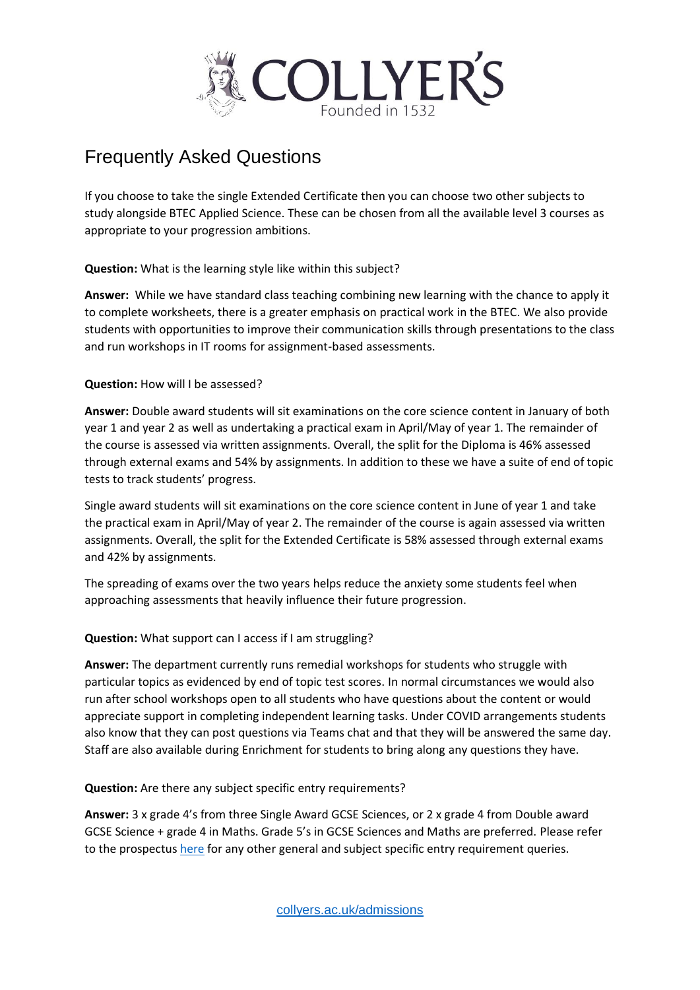

# Frequently Asked Questions

If you choose to take the single Extended Certificate then you can choose two other subjects to study alongside BTEC Applied Science. These can be chosen from all the available level 3 courses as appropriate to your progression ambitions.

**Question:** What is the learning style like within this subject?

**Answer:** While we have standard class teaching combining new learning with the chance to apply it to complete worksheets, there is a greater emphasis on practical work in the BTEC. We also provide students with opportunities to improve their communication skills through presentations to the class and run workshops in IT rooms for assignment-based assessments.

## **Question:** How will I be assessed?

**Answer:** Double award students will sit examinations on the core science content in January of both year 1 and year 2 as well as undertaking a practical exam in April/May of year 1. The remainder of the course is assessed via written assignments. Overall, the split for the Diploma is 46% assessed through external exams and 54% by assignments. In addition to these we have a suite of end of topic tests to track students' progress.

Single award students will sit examinations on the core science content in June of year 1 and take the practical exam in April/May of year 2. The remainder of the course is again assessed via written assignments. Overall, the split for the Extended Certificate is 58% assessed through external exams and 42% by assignments.

The spreading of exams over the two years helps reduce the anxiety some students feel when approaching assessments that heavily influence their future progression.

## **Question:** What support can I access if I am struggling?

**Answer:** The department currently runs remedial workshops for students who struggle with particular topics as evidenced by end of topic test scores. In normal circumstances we would also run after school workshops open to all students who have questions about the content or would appreciate support in completing independent learning tasks. Under COVID arrangements students also know that they can post questions via Teams chat and that they will be answered the same day. Staff are also available during Enrichment for students to bring along any questions they have.

#### **Question:** Are there any subject specific entry requirements?

**Answer:** 3 x grade 4's from three Single Award GCSE Sciences, or 2 x grade 4 from Double award GCSE Science + grade 4 in Maths. Grade 5's in GCSE Sciences and Maths are preferred. Please refer to the prospectus [here](https://www.collyers.ac.uk/collyers-college-prospectus-21/20/) for any other general and subject specific entry requirement queries.